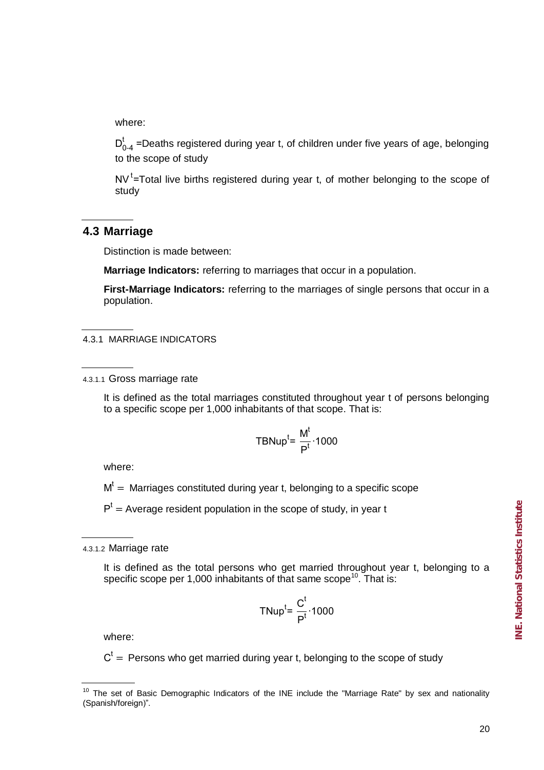where:

 $D_{0-4}^{t}$  =Deaths registered during year t, of children under five years of age, belonging to the scope of study

 $NV'$ =Total live births registered during year t, of mother belonging to the scope of study

## **4.3 Marriage**

Distinction is made between:

**Marriage Indicators:** referring to marriages that occur in a population.

**First-Marriage Indicators:** referring to the marriages of single persons that occur in a population.

## 4.3.1 MARRIAGE INDICATORS

4.3.1.1 Gross marriage rate

It is defined as the total marriages constituted throughout year t of persons belonging to a specific scope per 1,000 inhabitants of that scope. That is:

$$
TBNup^{t} = \frac{M^{t}}{P^{t}} \cdot 1000
$$

where:

 $M<sup>t</sup> =$  Marriages constituted during year t, belonging to a specific scope

 $P<sup>t</sup>$  = Average resident population in the scope of study, in year t

4.3.1.2 Marriage rate

It is defined as the total persons who get married throughout year t, belonging to a specific scope per 1,000 inhabitants of that same scope<sup>10</sup>. That is:

$$
TNup^{t} = \frac{C^{t}}{P^{t}} \cdot 1000
$$

where:

 $C<sup>t</sup>$  = Persons who get married during year t, belonging to the scope of study

<sup>&</sup>lt;sup>10</sup> The set of Basic Demographic Indicators of the INE include the "Marriage Rate" by sex and nationality (Spanish/foreign)"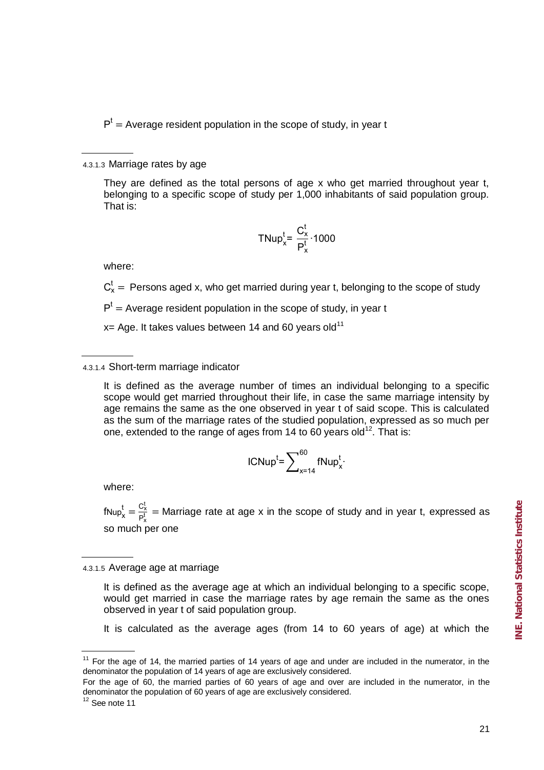$P<sup>t</sup>$  = Average resident population in the scope of study, in year t

#### 4.3.1.3 Marriage rates by age

They are defined as the total persons of age x who get married throughout year t, belonging to a specific scope of study per 1,000 inhabitants of said population group. That is:

$$
TNup_x^t = \frac{C_x^t}{P_x^t} \cdot 1000
$$

where:

 $C_x^t$  = Persons aged x, who get married during year t, belonging to the scope of study

 $P<sup>t</sup>$  = Average resident population in the scope of study, in year t

 $x=$  Age. It takes values between 14 and 60 years old<sup>11</sup>

## 4.3.1.4 Short-term marriage indicator

It is defined as the average number of times an individual belonging to a specific scope would get married throughout their life, in case the same marriage intensity by age remains the same as the one observed in year t of said scope. This is calculated as the sum of the marriage rates of the studied population, expressed as so much per one, extended to the range of ages from 14 to 60 years old<sup>12</sup>. That is:

$$
ICNupt = \sum\nolimits_{x=14}^{60} fNup_x^t
$$

where:

 $fNup_x^t = \frac{C_2^t}{P_2^t}$  $\frac{X_X}{P_X^t}$  = Marriage rate at age x in the scope of study and in year t, expressed as so much per one

4.3.1.5 Average age at marriage

It is defined as the average age at which an individual belonging to a specific scope, would get married in case the marriage rates by age remain the same as the ones observed in year t of said population group.

It is calculated as the average ages (from 14 to 60 years of age) at which the

 $11$  For the age of 14, the married parties of 14 years of age and under are included in the numerator, in the denominator the population of 14 years of age are exclusively considered.

For the age of 60, the married parties of 60 years of age and over are included in the numerator, in the denominator the population of 60 years of age are exclusively considered.

 $12$  See note 11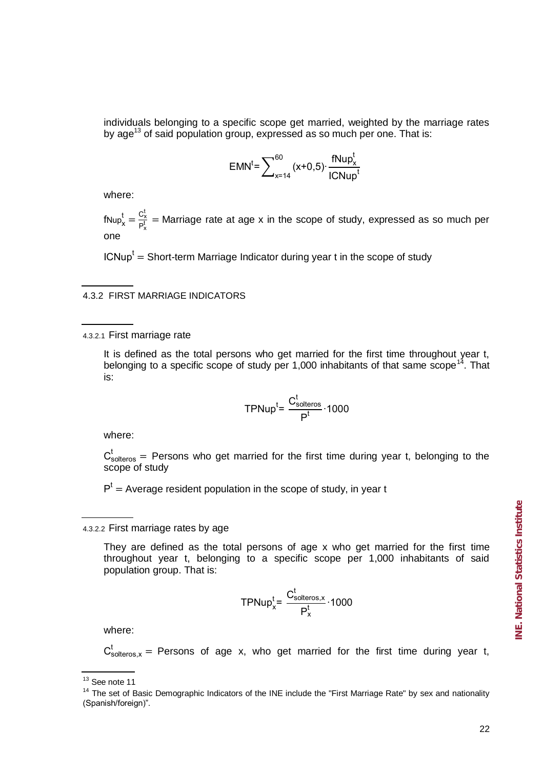individuals belonging to a specific scope get married, weighted by the marriage rates by age<sup>13</sup> of said population group, expressed as so much per one. That is:

$$
EMN^{t} = \sum_{x=14}^{60} (x+0.5) \cdot \frac{fNup_{x}^{t}}{ICNup_{x}^{t}}
$$

where:

 $fNup_x^t = \frac{C_2^t}{P_2^t}$  $\frac{X_X}{P_X^t}$  = Marriage rate at age x in the scope of study, expressed as so much per one

 $\mathsf{ICNup}^{\mathsf{t}} = \mathsf{Short}\text{-}\mathsf{term}$  Marriage Indicator during year t in the scope of study

## 4.3.2 FIRST MARRIAGE INDICATORS

4.3.2.1 First marriage rate

It is defined as the total persons who get married for the first time throughout year t, belonging to a specific scope of study per 1,000 inhabitants of that same scope<sup>14</sup>. That is:

$$
TPNup^{t} = \frac{C_{solteros}^{t}}{P^{t}} \cdot 1000
$$

where:

 $C_{\text{solteros}}^t$  = Persons who get married for the first time during year t, belonging to the scope of study

 $P<sup>t</sup>$  = Average resident population in the scope of study, in year t

#### 4.3.2.2 First marriage rates by age

They are defined as the total persons of age x who get married for the first time throughout year t, belonging to a specific scope per 1,000 inhabitants of said population group. That is:

$$
TPNup_x^t = \frac{C_{solteros,x}^t}{P_x^t} \cdot 1000
$$

where:

 $C_{\text{solteros}, x}^t$  = Persons of age x, who get married for the first time during year t,

 $13$  See note 11

<sup>&</sup>lt;sup>14</sup> The set of Basic Demographic Indicators of the INE include the "First Marriage Rate" by sex and nationality (Spanish/foreign)"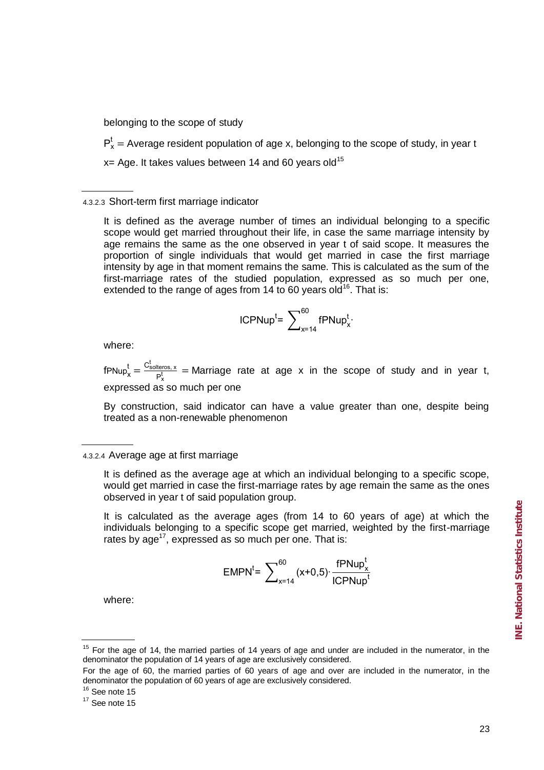belonging to the scope of study

 $P_x^t$  = Average resident population of age x, belonging to the scope of study, in year t

 $x=$  Age. It takes values between 14 and 60 years old<sup>15</sup>

4.3.2.3 Short-term first marriage indicator

It is defined as the average number of times an individual belonging to a specific scope would get married throughout their life, in case the same marriage intensity by age remains the same as the one observed in year t of said scope. It measures the proportion of single individuals that would get married in case the first marriage intensity by age in that moment remains the same. This is calculated as the sum of the first-marriage rates of the studied population, expressed as so much per one, extended to the range of ages from  $14$  to 60 years old<sup>16</sup>. That is:

$$
ICPNup^t = \sum_{x=14}^{60} fPNup_x^t.
$$

where:

 $f$ PNup $f_x = \frac{C_{\text{solteros},x}^t}{P_x^t}$  $\frac{M_{\text{cross},x}}{P_X^t}$  = Marriage rate at age x in the scope of study and in year t, expressed as so much per one

By construction, said indicator can have a value greater than one, despite being treated as a non-renewable phenomenon

It is calculated as the average ages (from 14 to 60 years of age) at which the individuals belonging to a specific scope get married, weighted by the first-marriage rates by  $age^{17}$ , expressed as so much per one. That is:

$$
EMPN^{t} = \sum_{x=14}^{60} (x+0.5) \cdot \frac{fPNup_x^{t}}{ICPNup_t^{t}}
$$

where:

<sup>4.3.2.4</sup> Average age at first marriage

It is defined as the average age at which an individual belonging to a specific scope, would get married in case the first-marriage rates by age remain the same as the ones observed in year t of said population group.

<sup>&</sup>lt;sup>15</sup> For the age of 14, the married parties of 14 years of age and under are included in the numerator, in the denominator the population of 14 years of age are exclusively considered.

For the age of 60, the married parties of 60 years of age and over are included in the numerator, in the denominator the population of 60 years of age are exclusively considered.

 $16$  See note 15

 $17$  See note 15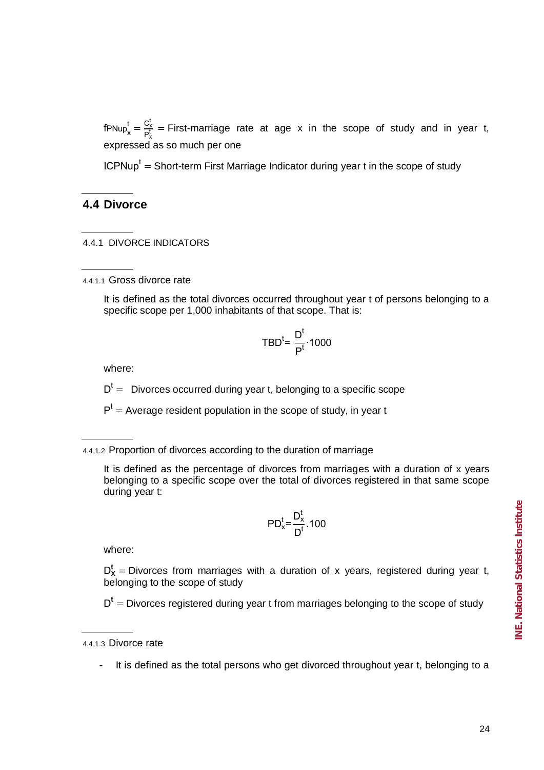$f$ PNup $f_x = \frac{C_2^t}{P_x^t}$  $\frac{G_X}{P_X^t}$  = First-marriage rate at age x in the scope of study and in year t, expressed as so much per one

ICPNup<sup>t</sup> = Short-term First Marriage Indicator during year t in the scope of study

## **4.4 Divorce**

4.4.1 DIVORCE INDICATORS

4.4.1.1 Gross divorce rate

It is defined as the total divorces occurred throughout year t of persons belonging to a specific scope per 1,000 inhabitants of that scope. That is:

$$
TBD^t = \frac{D^t}{P^t} \cdot 1000
$$

where:

 $D<sup>t</sup>$  = Divorces occurred during year t, belonging to a specific scope

 $P<sup>t</sup>$  = Average resident population in the scope of study, in year t

4.4.1.2 Proportion of divorces according to the duration of marriage

It is defined as the percentage of divorces from marriages with a duration of x years belonging to a specific scope over the total of divorces registered in that same scope during year t:

$$
PD_x^t = \frac{D_x^t}{D^t} \cdot 100
$$

where:

 $D_X^t$  = Divorces from marriages with a duration of x years, registered during year t, belonging to the scope of study

D<sup>t</sup> = Divorces registered during year t from marriages belonging to the scope of study

4.4.1.3 Divorce rate

- It is defined as the total persons who get divorced throughout year t, belonging to a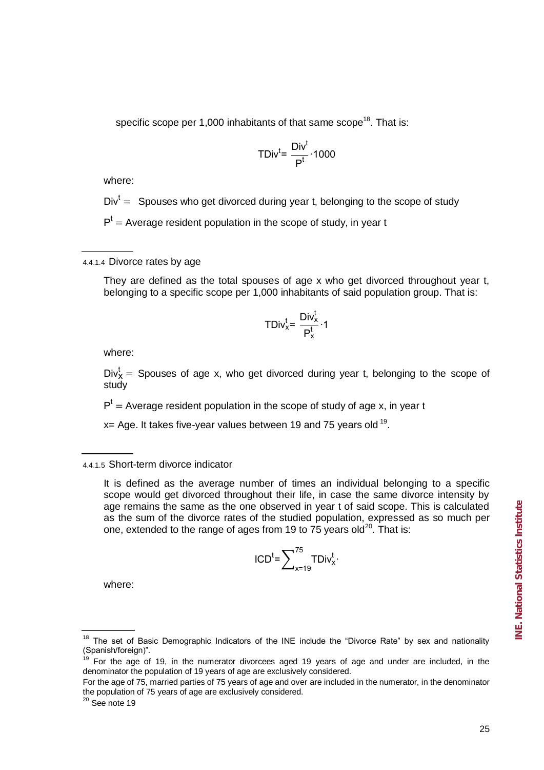$$
TDiv^t = \frac{Div^t}{P^t} \cdot 1000
$$

where:

 $Div<sup>t</sup> =$  Spouses who get divorced during year t, belonging to the scope of study

 $P<sup>t</sup>$  = Average resident population in the scope of study, in year t

4.4.1.4 Divorce rates by age

They are defined as the total spouses of age x who get divorced throughout year t, belonging to a specific scope per 1,000 inhabitants of said population group. That is:

$$
\mathsf{TDiv}_{x}^{t} = \frac{\mathsf{Div}_{x}^{t}}{\mathsf{P}_{x}^{t}} \cdot 1
$$

where:

 $Div_{\mathsf{x}}^t =$  Spouses of age x, who get divorced during year t, belonging to the scope of study

 $P<sup>t</sup>$  = Average resident population in the scope of study of age x, in year t

 $x=$  Age. It takes five-year values between 19 and 75 years old  $19$ .

$$
\mathsf{ICD}^t = \sum\nolimits_{x=19}^{75} \mathsf{TDiv}_x^t
$$

where:

<sup>4.4.1.5</sup> Short-term divorce indicator

It is defined as the average number of times an individual belonging to a specific scope would get divorced throughout their life, in case the same divorce intensity by age remains the same as the one observed in year t of said scope. This is calculated as the sum of the divorce rates of the studied population, expressed as so much per one, extended to the range of ages from 19 to  $75$  years old<sup>20</sup>. That is:

 $18$  The set of Basic Demographic Indicators of the INE include the "Divorce Rate" by sex and nationality (Spanish/foreign)"

 $19$  For the age of 19, in the numerator divorcees aged 19 years of age and under are included, in the denominator the population of 19 years of age are exclusively considered.

For the age of 75, married parties of 75 years of age and over are included in the numerator, in the denominator the population of 75 years of age are exclusively considered.

 $20$  See note 19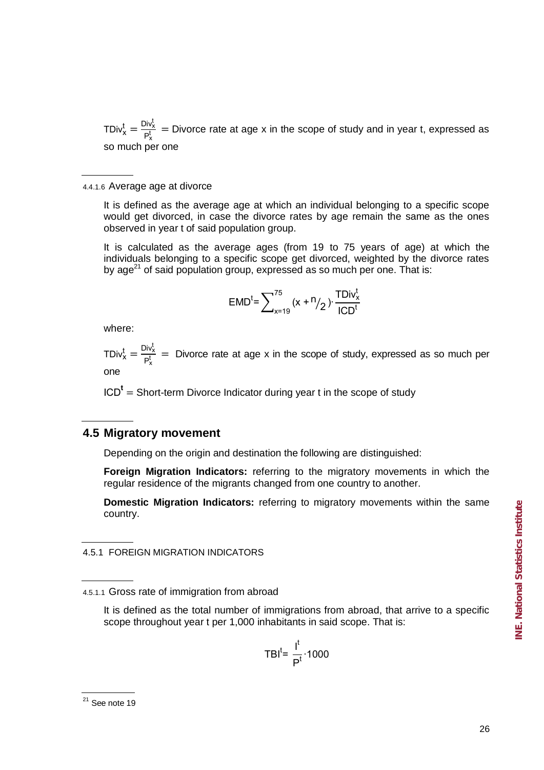TDiv $x_k^t = \frac{\text{Div}_X^t}{P_t}$  $\frac{\partial W_X}{\partial P_X^t}$  = Divorce rate at age x in the scope of study and in year t, expressed as so much per one

4.4.1.6 Average age at divorce

It is defined as the average age at which an individual belonging to a specific scope would get divorced, in case the divorce rates by age remain the same as the ones observed in year t of said population group.

It is calculated as the average ages (from 19 to 75 years of age) at which the individuals belonging to a specific scope get divorced, weighted by the divorce rates by age<sup>21</sup> of said population group, expressed as so much per one. That is:

$$
EMD^{t} = \sum_{x=19}^{75} (x + n/2) \cdot \frac{TDiv_{x}^{t}}{ICD^{t}}
$$

where:

TDiv $x_k^t = \frac{\text{Div}_X^t}{P_t^t}$  $\frac{\partial W_X}{\partial P_X^t}$  = Divorce rate at age x in the scope of study, expressed as so much per one

 $ICD<sup>t</sup> = Short-term Divorce Indicator during year t in the scope of study$ 

## **4.5 Migratory movement**

Depending on the origin and destination the following are distinguished:

**Foreign Migration Indicators:** referring to the migratory movements in which the regular residence of the migrants changed from one country to another.

**Domestic Migration Indicators:** referring to migratory movements within the same country.

4.5.1 FOREIGN MIGRATION INDICATORS

It is defined as the total number of immigrations from abroad, that arrive to a specific scope throughout year t per 1,000 inhabitants in said scope. That is:

$$
TBI^t = \frac{I^t}{P^t} \cdot 1000
$$

 $21$  See note 19

<sup>4.5.1.1</sup> Gross rate of immigration from abroad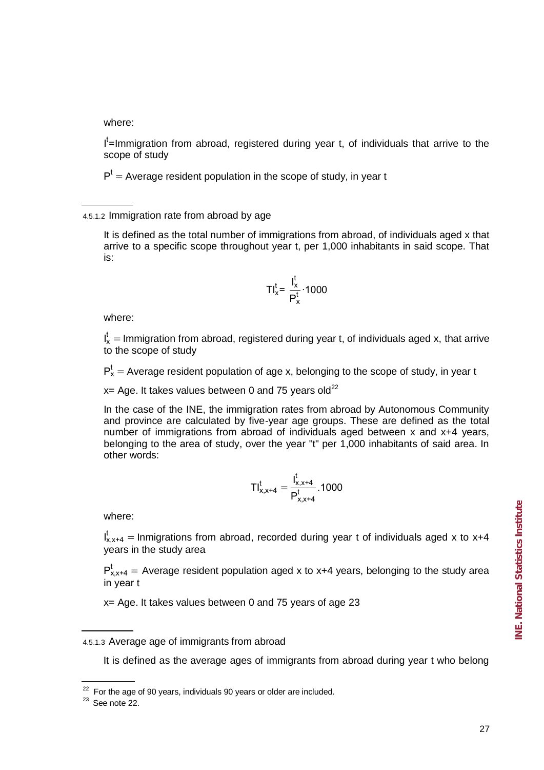where:

I<sup>t</sup>=Immigration from abroad, registered during year t, of individuals that arrive to the scope of study

 $P<sup>t</sup>$  = Average resident population in the scope of study, in year t

4.5.1.2 Immigration rate from abroad by age

It is defined as the total number of immigrations from abroad, of individuals aged x that arrive to a specific scope throughout year t, per 1,000 inhabitants in said scope. That is:

$$
TI_x^t = \frac{I_x^t}{P_x^t} \cdot 1000
$$

where:

 $I_x^t$  = Immigration from abroad, registered during year t, of individuals aged x, that arrive to the scope of study

 $P_x^t$  = Average resident population of age x, belonging to the scope of study, in year t

 $x=$  Age. It takes values between 0 and 75 years old<sup>22</sup>

In the case of the INE, the immigration rates from abroad by Autonomous Community and province are calculated by five-year age groups. These are defined as the total number of immigrations from abroad of individuals aged between x and x+4 years, belonging to the area of study, over the year "t" per 1,000 inhabitants of said area. In other words:

$$
TI_{x,x+4}^t = \frac{I_{x,x+4}^t}{P_{x,x+4}^t}.1000
$$

where:

 $I_{x,x+4}^t$  = Inmigrations from abroad, recorded during year t of individuals aged x to x+4 years in the study area

 $P_{x,x+4}^{t}$  = Average resident population aged x to x+4 years, belonging to the study area in year t

x= Age. It takes values between 0 and 75 years of age 23

4.5.1.3 Average age of immigrants from abroad

It is defined as the average ages of immigrants from abroad during year t who belong

 $22$  For the age of 90 years, individuals 90 years or older are included.

 $23$  See note 22.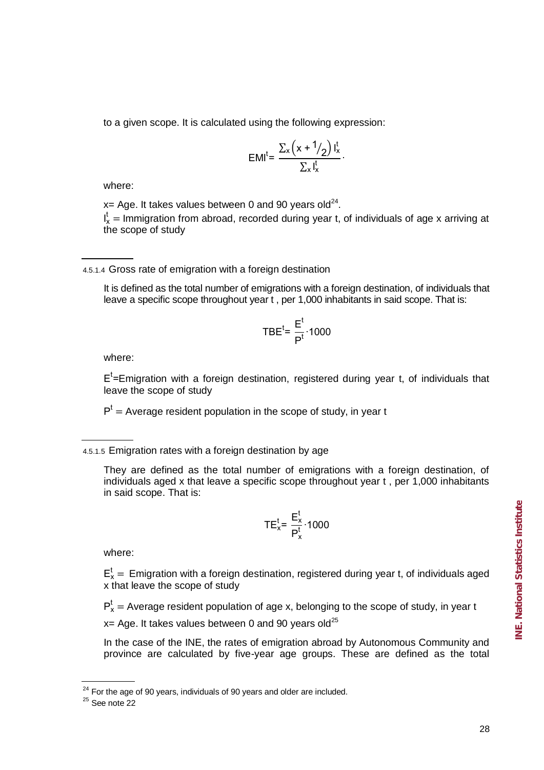$$
EMI^t = \frac{\sum_x \left(x + \frac{1}{2}\right) I_x^t}{\sum_x I_x^t}.
$$

where:

 $x=$  Age. It takes values between 0 and 90 years old<sup>24</sup>.

 $I_x^t$  = Immigration from abroad, recorded during year t, of individuals of age x arriving at the scope of study

4.5.1.4 Gross rate of emigration with a foreign destination

It is defined as the total number of emigrations with a foreign destination, of individuals that leave a specific scope throughout year t , per 1,000 inhabitants in said scope. That is:

$$
TBE^{t} = \frac{E^{t}}{P^{t}} \cdot 1000
$$

where:

 $E<sup>t</sup>$ =Emigration with a foreign destination, registered during year t, of individuals that leave the scope of study

 $P<sup>t</sup>$  = Average resident population in the scope of study, in year t

4.5.1.5 Emigration rates with a foreign destination by age

They are defined as the total number of emigrations with a foreign destination, of individuals aged x that leave a specific scope throughout year t , per 1,000 inhabitants in said scope. That is:

$$
TE_x^t = \frac{E_x^t}{P_x^t} \cdot 1000
$$

where:

 $E_x^t$  = Emigration with a foreign destination, registered during year t, of individuals aged x that leave the scope of study

 $P_x^t$  = Average resident population of age x, belonging to the scope of study, in year t

 $x=$  Age. It takes values between 0 and 90 years old<sup>25</sup>

In the case of the INE, the rates of emigration abroad by Autonomous Community and province are calculated by five-year age groups. These are defined as the total

 $24$  For the age of 90 years, individuals of 90 years and older are included.

 $25$  See note 22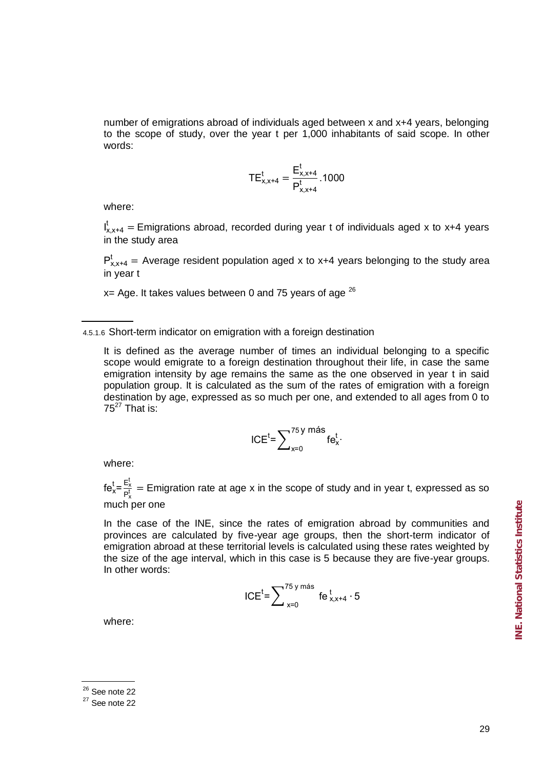number of emigrations abroad of individuals aged between x and x+4 years, belonging to the scope of study, over the year t per 1,000 inhabitants of said scope. In other words:

$$
TE_{x,x+4}^t = \frac{E_{x,x+4}^t}{P_{x,x+4}^t}.1000
$$

where:

 $I_{x,x+4}^t$  = Emigrations abroad, recorded during year t of individuals aged x to x+4 years in the study area

 $P_{x,x+4}^{t}$  = Average resident population aged x to x+4 years belonging to the study area in year t

 $x=$  Age. It takes values between 0 and 75 years of age  $26$ 

4.5.1.6 Short-term indicator on emigration with a foreign destination

It is defined as the average number of times an individual belonging to a specific scope would emigrate to a foreign destination throughout their life, in case the same emigration intensity by age remains the same as the one observed in year t in said population group. It is calculated as the sum of the rates of emigration with a foreign destination by age, expressed as so much per one, and extended to all ages from 0 to  $75^{27}$  That is:

$$
ICEt = \sum_{x=0}^{75 \text{ y más}} fe_x^t.
$$

where:

 $fe_x^t = \frac{E_y^t}{B_t^t}$  $\frac{E_X}{P_X}$  = Emigration rate at age x in the scope of study and in year t, expressed as so much per one

In the case of the INE, since the rates of emigration abroad by communities and provinces are calculated by five-year age groups, then the short-term indicator of emigration abroad at these territorial levels is calculated using these rates weighted by the size of the age interval, which in this case is 5 because they are five-year groups. In other words:

$$
ICEt = \sum\nolimits_{x=0}^{75 \text{ y más}} \text{fe}_{x, x+4}^{t} \cdot 5
$$

where:

 $26$  See note 22

 $27$  See note 22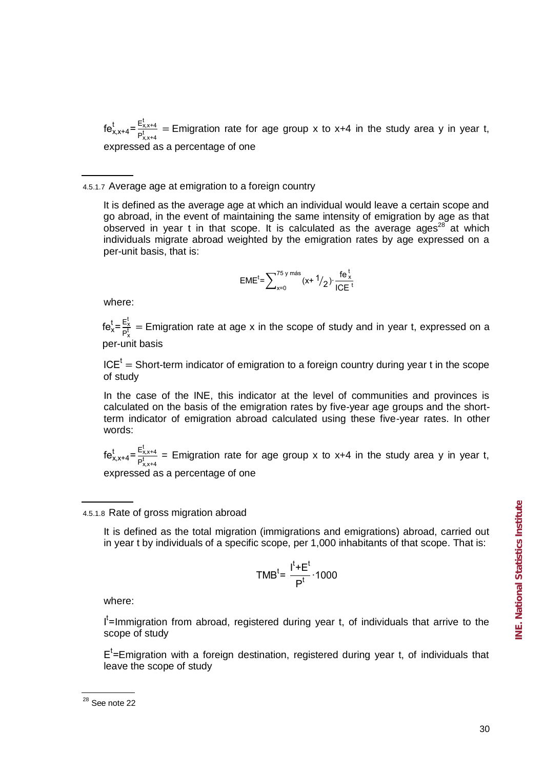$f e_{x,x+4}^t = \frac{E_{x,x}^t}{R}$  $P_{\text{rx}}^{\text{Lx14}}$  = Emigration rate for age group x to x+4 in the study area y in year t, expressed as a percentage of one

4.5.1.7 Average age at emigration to a foreign country

It is defined as the average age at which an individual would leave a certain scope and go abroad, in the event of maintaining the same intensity of emigration by age as that observed in year t in that scope. It is calculated as the average ages<sup>28</sup> at which individuals migrate abroad weighted by the emigration rates by age expressed on a per-unit basis, that is:

$$
EME^{t} = \sum_{x=0}^{75 \text{ y más}} (x + \frac{1}{2}) \cdot \frac{\text{fe}^{t}}{\text{ICE}^{t}}
$$

where:

 $fe_x^t = \frac{E_y^t}{B_t^t}$  $\frac{E_X}{P_X^t}$  = Emigration rate at age x in the scope of study and in year t, expressed on a per-unit basis

 $ICE<sup>t</sup>$  = Short-term indicator of emigration to a foreign country during year t in the scope of study

In the case of the INE, this indicator at the level of communities and provinces is calculated on the basis of the emigration rates by five-year age groups and the shortterm indicator of emigration abroad calculated using these five-year rates. In other words:

 $f e_{x,x+4}^t = \frac{E_{x,x}^t}{R}$  $\frac{\sum_{x,t4}}{p_{x,x+4}^+}$  = Emigration rate for age group x to x+4 in the study area y in year t, expressed as a percentage of one

## 4.5.1.8 Rate of gross migration abroad

It is defined as the total migration (immigrations and emigrations) abroad, carried out in year t by individuals of a specific scope, per 1,000 inhabitants of that scope. That is:

$$
TMB^t = \frac{I^t + E^t}{P^t} \cdot 1000
$$

where:

I<sup>t</sup>=Immigration from abroad, registered during year t, of individuals that arrive to the scope of study

 $E<sup>t</sup>$ =Emigration with a foreign destination, registered during year t, of individuals that leave the scope of study

 $28$  See note 22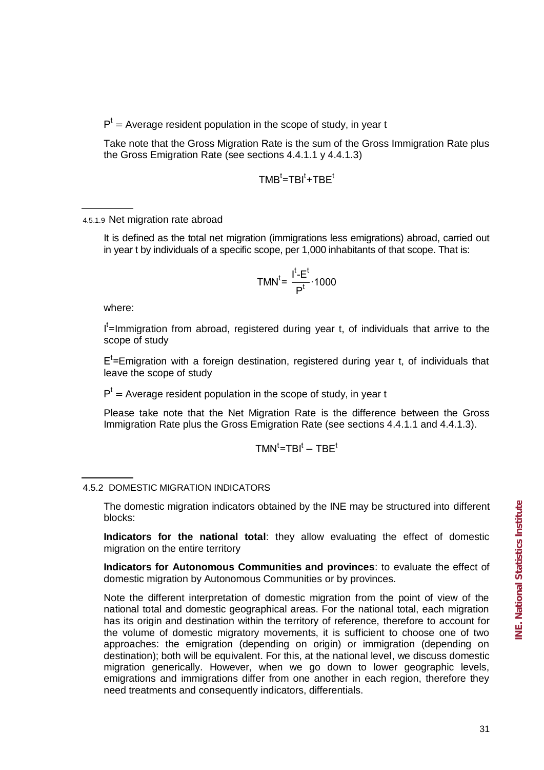$P<sup>t</sup>$  = Average resident population in the scope of study, in year t

Take note that the Gross Migration Rate is the sum of the Gross Immigration Rate plus the Gross Emigration Rate (see sections 4.4.1.1 y 4.4.1.3)

$$
\mathsf{TMB}^t = \mathsf{TBl}^t + \mathsf{TBE}^t
$$

4.5.1.9 Net migration rate abroad

It is defined as the total net migration (immigrations less emigrations) abroad, carried out in year t by individuals of a specific scope, per 1,000 inhabitants of that scope. That is:

$$
TMN^t = \frac{I^t - E^t}{P^t} \cdot 1000
$$

where:

I<sup>t</sup>=Immigration from abroad, registered during year t, of individuals that arrive to the scope of study

 $E<sup>t</sup>$ =Emigration with a foreign destination, registered during year t, of individuals that leave the scope of study

 $P<sup>t</sup>$  = Average resident population in the scope of study, in year t

Please take note that the Net Migration Rate is the difference between the Gross Immigration Rate plus the Gross Emigration Rate (see sections 4.4.1.1 and 4.4.1.3).

$$
\mathsf{TMN}^t\textsf{=}\mathsf{TBI}^t-\mathsf{TBE}^t
$$

## 4.5.2 DOMESTIC MIGRATION INDICATORS

The domestic migration indicators obtained by the INE may be structured into different blocks:

**Indicators for the national total**: they allow evaluating the effect of domestic migration on the entire territory

**Indicators for Autonomous Communities and provinces**: to evaluate the effect of domestic migration by Autonomous Communities or by provinces.

Note the different interpretation of domestic migration from the point of view of the national total and domestic geographical areas. For the national total, each migration has its origin and destination within the territory of reference, therefore to account for the volume of domestic migratory movements, it is sufficient to choose one of two approaches: the emigration (depending on origin) or immigration (depending on destination); both will be equivalent. For this, at the national level, we discuss domestic migration generically. However, when we go down to lower geographic levels, emigrations and immigrations differ from one another in each region, therefore they need treatments and consequently indicators, differentials.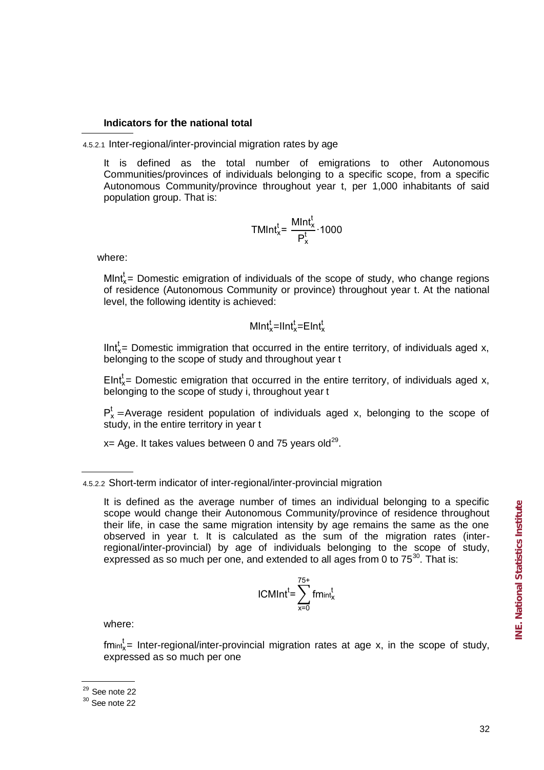## **Indicators for the national total**

4.5.2.1 Inter-regional/inter-provincial migration rates by age

It is defined as the total number of emigrations to other Autonomous Communities/provinces of individuals belonging to a specific scope, from a specific Autonomous Community/province throughout year t, per 1,000 inhabitants of said population group. That is:

$$
TMInt_x^t = \frac{MInt_x^t}{P_x^t} \cdot 1000
$$

where:

MInt $x^t$  Domestic emigration of individuals of the scope of study, who change regions of residence (Autonomous Community or province) throughout year t. At the national level, the following identity is achieved:

$$
MInt_x^t=Int_x^t=EInt_x^t
$$

IInt $x_i$  Domestic immigration that occurred in the entire territory, of individuals aged x, belonging to the scope of study and throughout year t

Elnt $x^t$  Domestic emigration that occurred in the entire territory, of individuals aged x, belonging to the scope of study i, throughout year t

 $P_x^t$  = Average resident population of individuals aged x, belonging to the scope of study, in the entire territory in year t

 $x=$  Age. It takes values between 0 and 75 years old<sup>29</sup>.

$$
ICMInt^t = \sum_{x=0}^{75+} fm_{int^t_X}
$$

where:

 $f$ mint $_x^t$ = Inter-regional/inter-provincial migration rates at age x, in the scope of study, expressed as so much per one

<sup>4.5.2.2</sup> Short-term indicator of inter-regional/inter-provincial migration

It is defined as the average number of times an individual belonging to a specific scope would change their Autonomous Community/province of residence throughout their life, in case the same migration intensity by age remains the same as the one observed in year t. It is calculated as the sum of the migration rates (interregional/inter-provincial) by age of individuals belonging to the scope of study, expressed as so much per one, and extended to all ages from 0 to  $75^{30}$ . That is:

 $29$  See note 22

 $30$  See note 22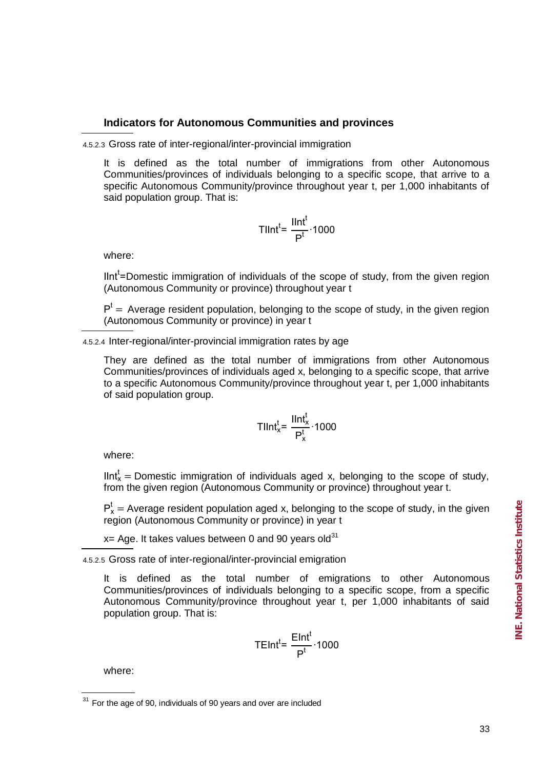## **Indicators for Autonomous Communities and provinces**

4.5.2.3 Gross rate of inter-regional/inter-provincial immigration

It is defined as the total number of immigrations from other Autonomous Communities/provinces of individuals belonging to a specific scope, that arrive to a specific Autonomous Community/province throughout year t, per 1,000 inhabitants of said population group. That is:

$$
Tllnt^{t} = \frac{llnt^{t}}{P^{t}} \cdot 1000
$$

where:

IInt<sup>t</sup>=Domestic immigration of individuals of the scope of study, from the given region (Autonomous Community or province) throughout year t

 $P<sup>t</sup>$  = Average resident population, belonging to the scope of study, in the given region (Autonomous Community or province) in year t

4.5.2.4 Inter-regional/inter-provincial immigration rates by age

They are defined as the total number of immigrations from other Autonomous Communities/provinces of individuals aged x, belonging to a specific scope, that arrive to a specific Autonomous Community/province throughout year t, per 1,000 inhabitants of said population group.

$$
Tllnt_x^t = \frac{llnt_x^t}{P_x^t} \cdot 1000
$$

where:

IInt $x =$  Domestic immigration of individuals aged x, belonging to the scope of study, from the given region (Autonomous Community or province) throughout year t.

 $P_x^t$  = Average resident population aged x, belonging to the scope of study, in the given region (Autonomous Community or province) in year t

 $x=$  Age. It takes values between 0 and 90 years old<sup>31</sup>

4.5.2.5 Gross rate of inter-regional/inter-provincial emigration

It is defined as the total number of emigrations to other Autonomous Communities/provinces of individuals belonging to a specific scope, from a specific Autonomous Community/province throughout year t, per 1,000 inhabitants of said population group. That is:

$$
TEInt^{t} = \frac{EInt^{t}}{P^{t}} \cdot 1000
$$

where:

 $31$  For the age of 90, individuals of 90 years and over are included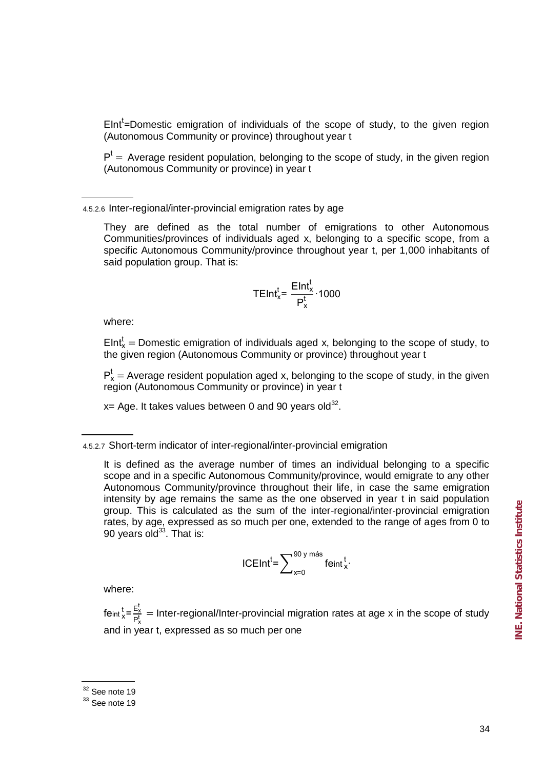EInt'=Domestic emigration of individuals of the scope of study, to the given region (Autonomous Community or province) throughout year t

 $P<sup>t</sup>$  = Average resident population, belonging to the scope of study, in the given region (Autonomous Community or province) in year t

4.5.2.6 Inter-regional/inter-provincial emigration rates by age

They are defined as the total number of emigrations to other Autonomous Communities/provinces of individuals aged x, belonging to a specific scope, from a specific Autonomous Community/province throughout year t, per 1,000 inhabitants of said population group. That is:

$$
\mathsf{TEInt}^t_x = \frac{\mathsf{EInt}^t_x}{P^t_x} \cdot 1000
$$

where:

 $\mathsf{EInt}^\mathsf{t}_\mathsf{x} = \mathsf{Domestic\ emigration\ of\ individuals\ aged\ x, belonging\ to\ the\ scope\ of\ study, to}$ the given region (Autonomous Community or province) throughout year t

 $P_x^t$  = Average resident population aged x, belonging to the scope of study, in the given region (Autonomous Community or province) in year t

 $x = Age$ . It takes values between 0 and 90 years old<sup>32</sup>.

It is defined as the average number of times an individual belonging to a specific scope and in a specific Autonomous Community/province, would emigrate to any other Autonomous Community/province throughout their life, in case the same emigration intensity by age remains the same as the one observed in year t in said population group. This is calculated as the sum of the inter-regional/inter-provincial emigration rates, by age, expressed as so much per one, extended to the range of ages from 0 to 90 years old $33$ . That is:

$$
ICEInt^t = \sum\nolimits_{x=0}^{90 \text{ y más}} \text{feint}^t_x.
$$

where:

feint  $\frac{t}{x} = \frac{E_1^t}{B}$  $\frac{H_X}{P_X}$  = Inter-regional/Inter-provincial migration rates at age x in the scope of study and in year t, expressed as so much per one

<sup>4.5.2.7</sup> Short-term indicator of inter-regional/inter-provincial emigration

 $32$  See note 19

 $33$  See note 19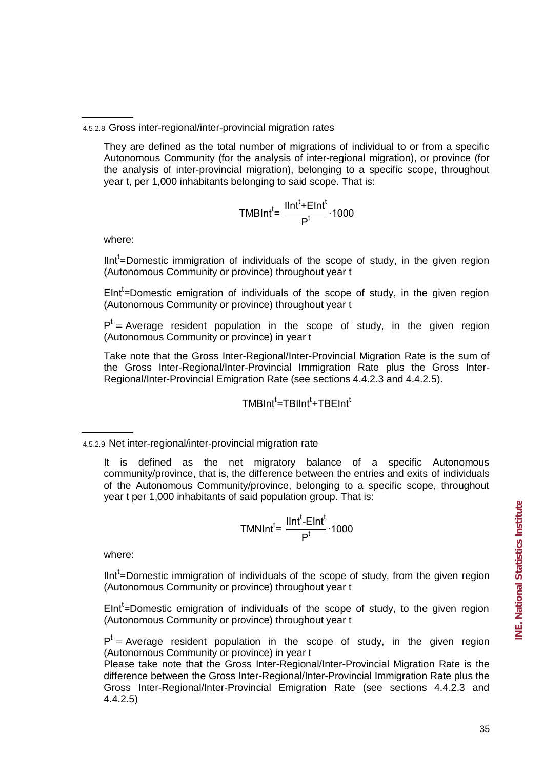They are defined as the total number of migrations of individual to or from a specific Autonomous Community (for the analysis of inter-regional migration), or province (for the analysis of inter-provincial migration), belonging to a specific scope, throughout year t, per 1,000 inhabitants belonging to said scope. That is:

$$
TMBInt^{t} = \frac{IInt^{t} + EInt^{t}}{P^{t}} \cdot 1000
$$

where:

IInt'=Domestic immigration of individuals of the scope of study, in the given region (Autonomous Community or province) throughout year t

 $E$ Int<sup>t</sup>=Domestic emigration of individuals of the scope of study, in the given region (Autonomous Community or province) throughout year t

 $P<sup>t</sup>$  = Average resident population in the scope of study, in the given region (Autonomous Community or province) in year t

Take note that the Gross Inter-Regional/Inter-Provincial Migration Rate is the sum of the Gross Inter-Regional/Inter-Provincial Immigration Rate plus the Gross Inter-Regional/Inter-Provincial Emigration Rate (see sections 4.4.2.3 and 4.4.2.5).

$$
\mathsf{TMBInt}^{t} \text{=}\mathsf{TBlInt}^{t} \text{+}\mathsf{TBEInt}^{t}
$$

$$
TMNInt^{t} = \frac{IInt^{t} - EInt^{t}}{P^{t}} \cdot 1000
$$

where:

IInt'=Domestic immigration of individuals of the scope of study, from the given region (Autonomous Community or province) throughout year t

 $E$ Int<sup>t</sup>=Domestic emigration of individuals of the scope of study, to the given region (Autonomous Community or province) throughout year t

 $P<sup>t</sup>$  = Average resident population in the scope of study, in the given region (Autonomous Community or province) in year t

Please take note that the Gross Inter-Regional/Inter-Provincial Migration Rate is the difference between the Gross Inter-Regional/Inter-Provincial Immigration Rate plus the Gross Inter-Regional/Inter-Provincial Emigration Rate (see sections 4.4.2.3 and 4.4.2.5)

<sup>4.5.2.8</sup> Gross inter-regional/inter-provincial migration rates

<sup>4.5.2.9</sup> Net inter-regional/inter-provincial migration rate

It is defined as the net migratory balance of a specific Autonomous community/province, that is, the difference between the entries and exits of individuals of the Autonomous Community/province, belonging to a specific scope, throughout year t per 1,000 inhabitants of said population group. That is: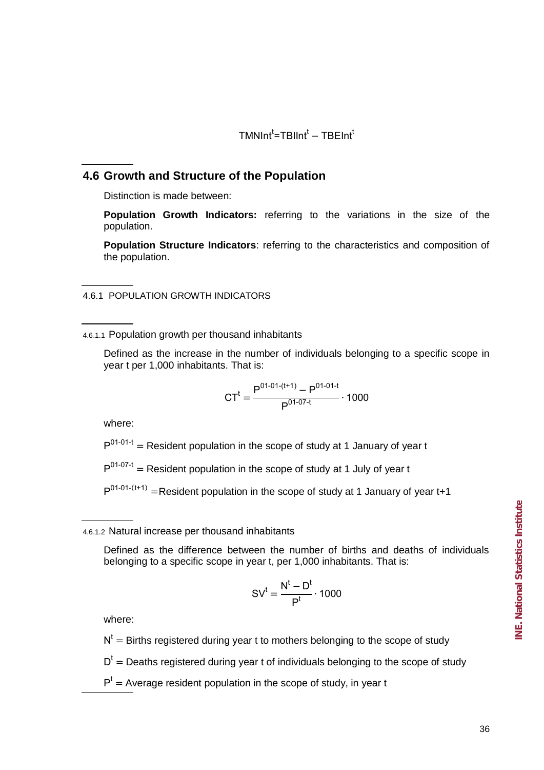TMNInt'=TBIInt' – TBEInt

## **4.6 Growth and Structure of the Population**

Distinction is made between:

**Population Growth Indicators:** referring to the variations in the size of the population.

**Population Structure Indicators**: referring to the characteristics and composition of the population.

4.6.1 POPULATION GROWTH INDICATORS

4.6.1.1 Population growth per thousand inhabitants

Defined as the increase in the number of individuals belonging to a specific scope in year t per 1,000 inhabitants. That is:

$$
CT^{t} = \frac{P^{01-01-(t+1)} - P^{01-01-t}}{P^{01-07-t}} \cdot 1000
$$

where:

 $P^{01-01-t}$  = Resident population in the scope of study at 1 January of year t

 $P^{01-07-t}$  = Resident population in the scope of study at 1 July of year t

 $P^{01-01-(t+1)}$  =Resident population in the scope of study at 1 January of year t+1

4.6.1.2 Natural increase per thousand inhabitants

Defined as the difference between the number of births and deaths of individuals belonging to a specific scope in year t, per 1,000 inhabitants. That is:

$$
SV^t = \frac{N^t - D^t}{P^t} \cdot 1000
$$

where:

 $N^t$  = Births registered during year t to mothers belonging to the scope of study

 $D<sup>t</sup>$  = Deaths registered during year t of individuals belonging to the scope of study

 $P<sup>t</sup>$  = Average resident population in the scope of study, in year t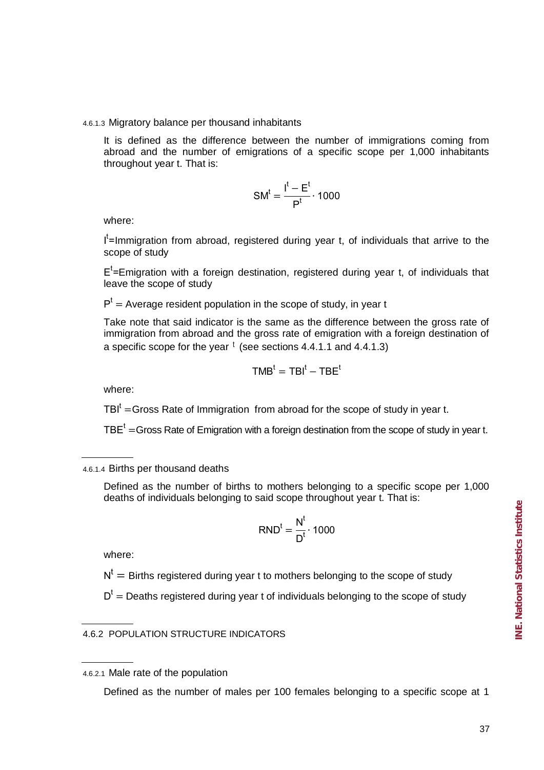NE. National Statistics Institute **INE. National Statistics Institute**

## 4.6.1.3 Migratory balance per thousand inhabitants

It is defined as the difference between the number of immigrations coming from abroad and the number of emigrations of a specific scope per 1,000 inhabitants throughout year t. That is:

$$
SM^t = \frac{I^t - E^t}{P^t} \cdot 1000
$$

where:

I<sup>t</sup>=Immigration from abroad, registered during year t, of individuals that arrive to the scope of study

 $E<sup>t</sup>$ =Emigration with a foreign destination, registered during year t, of individuals that leave the scope of study

 $P<sup>t</sup>$  = Average resident population in the scope of study, in year t

Take note that said indicator is the same as the difference between the gross rate of immigration from abroad and the gross rate of emigration with a foreign destination of a specific scope for the year  $\mathfrak{t}$  (see sections 4.4.1.1 and 4.4.1.3)

$$
TMBt = TBlt - TBEt
$$

where:

 $TBI<sup>t</sup> = Gross Rate of Immigration from abroad for the scope of study in year t.$ 

 $TBE<sup>t</sup> = Gross Rate$  of Emigration with a foreign destination from the scope of study in year t.

## 4.6.1.4 Births per thousand deaths

Defined as the number of births to mothers belonging to a specific scope per 1,000 deaths of individuals belonging to said scope throughout year t. That is:

$$
\mathsf{RND}^t = \frac{N^t}{D^t} \cdot 1000
$$

where:

 $N^t = B$ irths registered during year t to mothers belonging to the scope of study

 $D<sup>t</sup>$  = Deaths registered during year t of individuals belonging to the scope of study

4.6.2 POPULATION STRUCTURE INDICATORS

4.6.2.1 Male rate of the population

Defined as the number of males per 100 females belonging to a specific scope at 1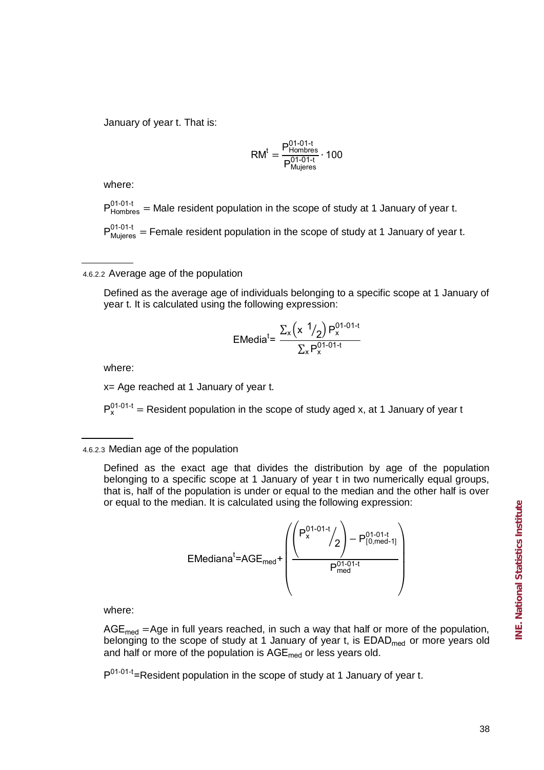January of year t. That is:

$$
RM^t = \frac{P_{Hombres}^{01-01-t}}{P_{Mujeres}^{01-01-t}} \cdot 100
$$

where:

 $P^{01-01-t}_{Hombres}$  = Male resident population in the scope of study at 1 January of year t.

 $P_{Mujeres}^{01-01-t}$  = Female resident population in the scope of study at 1 January of year t.

4.6.2.2 Average age of the population

Defined as the average age of individuals belonging to a specific scope at 1 January of year t. It is calculated using the following expression:

$$
EMedia^{t} = \frac{\sum_{x} (x \frac{1}{2}) P_{x}^{01-01-t}}{\sum_{x} P_{x}^{01-01-t}}
$$

where:

x= Age reached at 1 January of year t.

 $P_{x}^{01-01-t}$  = Resident population in the scope of study aged x, at 1 January of year t

Defined as the exact age that divides the distribution by age of the population belonging to a specific scope at 1 January of year t in two numerically equal groups, that is, half of the population is under or equal to the median and the other half is over or equal to the median. It is calculated using the following expression:

$$
EMedianat=AGE_{med} + \left(\frac{\left(P_{x}^{01-01-t}/2\right)-P_{[0,med-1]}^{01-01-t}}{P_{med}^{01-01-t}}\right)
$$

where:

 $AGE_{med} = Age$  in full years reached, in such a way that half or more of the population, belonging to the scope of study at 1 January of year t, is  $EDAD_{med}$  or more years old and half or more of the population is  $AGE_{med}$  or less years old.

P<sup>01-01-t</sup>=Resident population in the scope of study at 1 January of year t.

<sup>4.6.2.3</sup> Median age of the population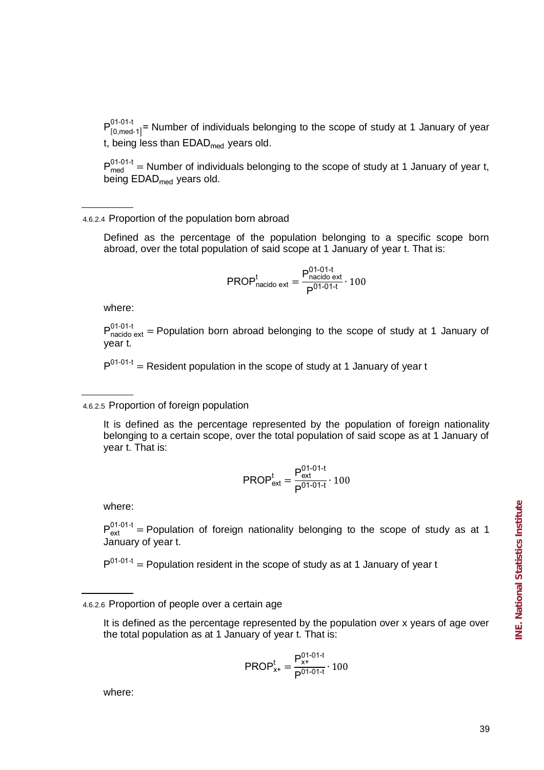$P_{[0,med-1]}^{0,10,11}$  = Number of individuals belonging to the scope of study at 1 January of year  $P^{01-01-t}$ t, being less than  $EDAD_{med}$  years old.

 $P_{med}^{01-01-t}$  = Number of individuals belonging to the scope of study at 1 January of year t, being EDAD<sub>med</sub> years old.

## 4.6.2.4 Proportion of the population born abroad

Defined as the percentage of the population belonging to a specific scope born abroad, over the total population of said scope at 1 January of year t. That is:

$$
PROPnacido extt = \frac{Pnacido ext01-01-t}{P01-01-t} \cdot 100
$$

where:

 $P_{\text{nacido ext}}^{01-01-t}$  = Population born abroad belonging to the scope of study at 1 January of year t.

 $P^{01-01-t}$  = Resident population in the scope of study at 1 January of year t

## 4.6.2.5 Proportion of foreign population

It is defined as the percentage represented by the population of foreign nationality belonging to a certain scope, over the total population of said scope as at 1 January of year t. That is:

$$
PROPextt = \frac{Pext01-01-t}{P01-01-t} \cdot 100
$$

where:

 $P_{\text{ext}}^{01-01-t}$  = Population of foreign nationality belonging to the scope of study as at 1 January of year t.

 $P^{01-01-t}$  = Population resident in the scope of study as at 1 January of year t

$$
\text{PROP}_{x+}^t = \frac{P_{x+}^{01-01-t}}{P^{01-01-t}} \cdot 100
$$

where:

<sup>4.6.2.6</sup> Proportion of people over a certain age

It is defined as the percentage represented by the population over x years of age over the total population as at 1 January of year t. That is: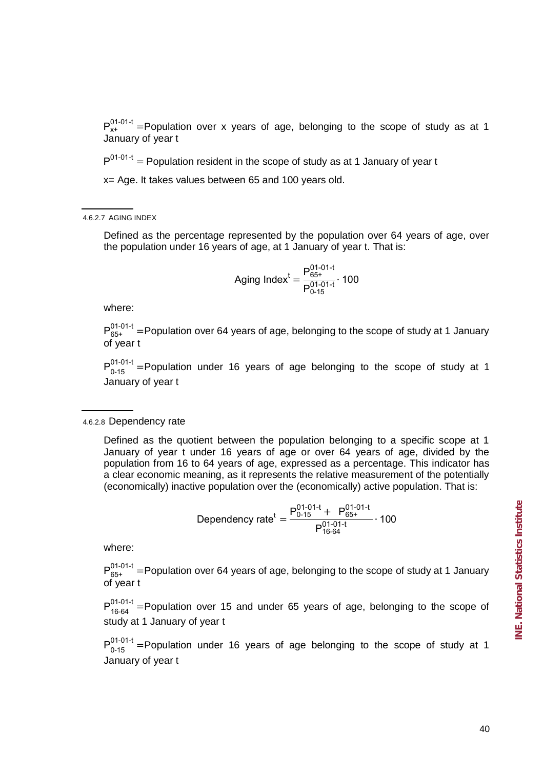$P_{x+}^{01-01-t}$  =Population over x years of age, belonging to the scope of study as at 1 January of year t

 $P^{01-01-t}$  = Population resident in the scope of study as at 1 January of year t

x= Age. It takes values between 65 and 100 years old.

4.6.2.7 AGING INDEX

Defined as the percentage represented by the population over 64 years of age, over the population under 16 years of age, at 1 January of year t. That is:

$$
Againg Indext = \frac{P_{65+}^{01-01-t}}{P_{0-15}^{01-01-t}} \cdot 100
$$

where:

 $P_{65+}^{01-01-t}$  =Population over 64 years of age, belonging to the scope of study at 1 January of year t

 $P_{0.15}^{01-01-t}$  =Population under 16 years of age belonging to the scope of study at 1 January of year t

4.6.2.8 Dependency rate

Defined as the quotient between the population belonging to a specific scope at 1 January of year t under 16 years of age or over 64 years of age, divided by the population from 16 to 64 years of age, expressed as a percentage. This indicator has a clear economic meaning, as it represents the relative measurement of the potentially (economically) inactive population over the (economically) active population. That is:

Dependency rate<sup>t</sup> = 
$$
\frac{P_{0-15}^{01-01-t} + P_{65+}^{01-01-t}}{P_{16-64}^{01-01-t}} \cdot 100
$$

where:

 $P_{65+}^{01-01-t}$  =Population over 64 years of age, belonging to the scope of study at 1 January of year t

 $P_{16-64}^{01-01-t}$  =Population over 15 and under 65 years of age, belonging to the scope of study at 1 January of year t

 $P_{0.15}^{01-01-t}$  =Population under 16 years of age belonging to the scope of study at 1 January of year t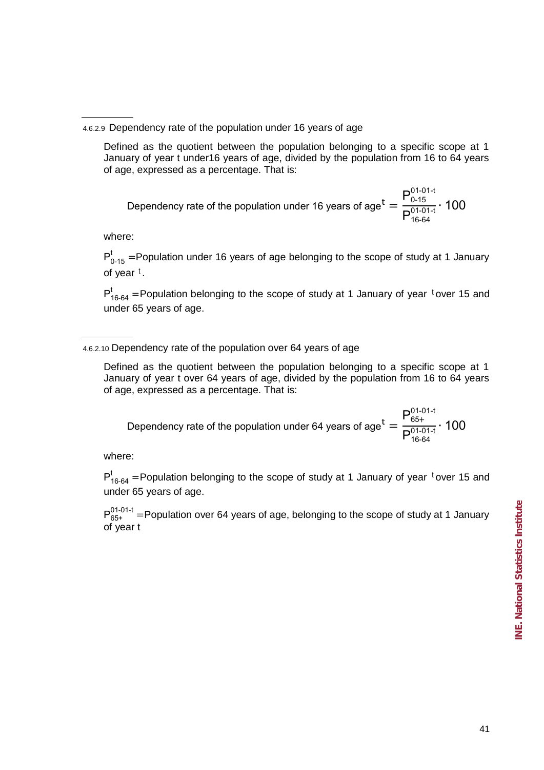Defined as the quotient between the population belonging to a specific scope at 1 January of year t under16 years of age, divided by the population from 16 to 64 years of age, expressed as a percentage. That is:

Dependency rate of the population under 16 years of age<sup>t</sup>  $P_0^0$  $P_1^0$ 

where:

 $P_{0.15}^{t}$  =Population under 16 years of age belonging to the scope of study at 1 January of year <sup>t</sup>.

 $P_{16-64}^{t}$  =Population belonging to the scope of study at 1 January of year <sup>t</sup>over 15 and under 65 years of age.

Defined as the quotient between the population belonging to a specific scope at 1 January of year t over 64 years of age, divided by the population from 16 to 64 years of age, expressed as a percentage. That is:

Dependency rate of the population under 64 years of age<sup>t</sup>  $P_6^0$  $P_1^0$ 

where:

 $P_{16-64}^{t}$  =Population belonging to the scope of study at 1 January of year <sup>t</sup>over 15 and under 65 years of age.

 $P_{65+}^{01-01-t}$  =Population over 64 years of age, belonging to the scope of study at 1 January of year t

<sup>4.6.2.9</sup> Dependency rate of the population under 16 years of age

<sup>4.6.2.10</sup> Dependency rate of the population over 64 years of age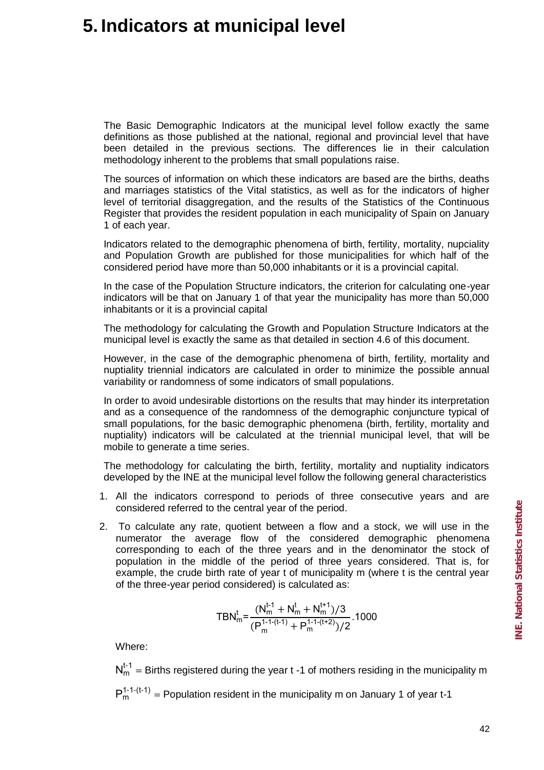# **5. Indicators at municipal level**

The Basic Demographic Indicators at the municipal level follow exactly the same definitions as those published at the national, regional and provincial level that have been detailed in the previous sections. The differences lie in their calculation methodology inherent to the problems that small populations raise.

The sources of information on which these indicators are based are the births, deaths and marriages statistics of the Vital statistics, as well as for the indicators of higher level of territorial disaggregation, and the results of the Statistics of the Continuous Register that provides the resident population in each municipality of Spain on January 1 of each year.

Indicators related to the demographic phenomena of birth, fertility, mortality, nupciality and Population Growth are published for those municipalities for which half of the considered period have more than 50,000 inhabitants or it is a provincial capital.

In the case of the Population Structure indicators, the criterion for calculating one-year indicators will be that on January 1 of that year the municipality has more than 50,000 inhabitants or it is a provincial capital

The methodology for calculating the Growth and Population Structure Indicators at the municipal level is exactly the same as that detailed in section 4.6 of this document.

However, in the case of the demographic phenomena of birth, fertility, mortality and nuptiality triennial indicators are calculated in order to minimize the possible annual variability or randomness of some indicators of small populations.

In order to avoid undesirable distortions on the results that may hinder its interpretation and as a consequence of the randomness of the demographic conjuncture typical of small populations, for the basic demographic phenomena (birth, fertility, mortality and nuptiality) indicators will be calculated at the triennial municipal level, that will be mobile to generate a time series.

The methodology for calculating the birth, fertility, mortality and nuptiality indicators developed by the INE at the municipal level follow the following general characteristics

- 1. All the indicators correspond to periods of three consecutive years and are considered referred to the central year of the period.
- 2. To calculate any rate, quotient between a flow and a stock, we will use in the numerator the average flow of the considered demographic phenomena corresponding to each of the three years and in the denominator the stock of population in the middle of the period of three years considered. That is, for example, the crude birth rate of year t of municipality m (where t is the central year of the three-year period considered) is calculated as:

$$
\text{TBN}_m^t \text{=}\frac{(N_m^{t\text{-}1}+N_m^t+N_m^{t\text{+}1})/3}{(P_m^{1\text{-}1\text{-}(t\text{-}1)}+P_m^{1\text{-}1\text{-}(t\text{+}2)})/2}.\text{1000}
$$

Where:

 $N_{m}^{t-1}$  = Births registered during the year t -1 of mothers residing in the municipality m  $P_m^{1-1-(t-1)}$  = Population resident in the municipality m on January 1 of year t-1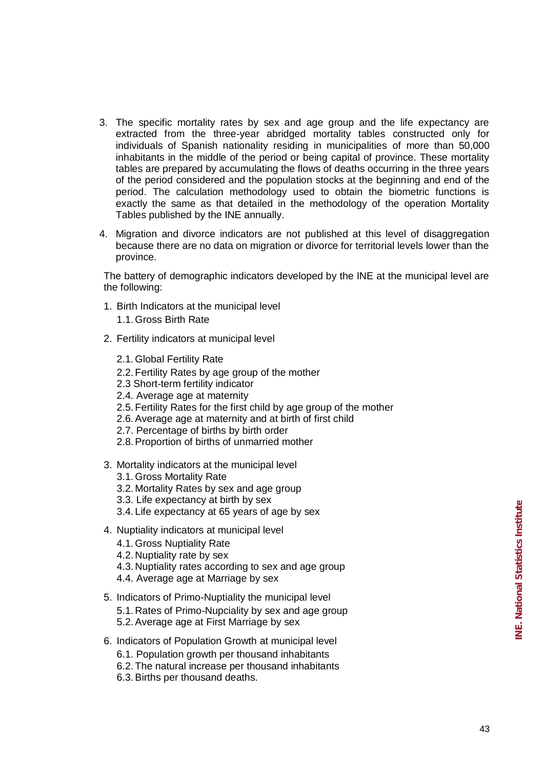- 3. The specific mortality rates by sex and age group and the life expectancy are extracted from the three-year abridged mortality tables constructed only for individuals of Spanish nationality residing in municipalities of more than 50,000 inhabitants in the middle of the period or being capital of province. These mortality tables are prepared by accumulating the flows of deaths occurring in the three years of the period considered and the population stocks at the beginning and end of the period. The calculation methodology used to obtain the biometric functions is exactly the same as that detailed in the methodology of the operation Mortality Tables published by the INE annually.
- 4. Migration and divorce indicators are not published at this level of disaggregation because there are no data on migration or divorce for territorial levels lower than the province.

The battery of demographic indicators developed by the INE at the municipal level are the following:

- 1. Birth Indicators at the municipal level 1.1. Gross Birth Rate
- 2. Fertility indicators at municipal level
	- 2.1. Global Fertility Rate
	- 2.2. Fertility Rates by age group of the mother
	- 2.3 Short-term fertility indicator
	- 2.4. Average age at maternity
	- 2.5. Fertility Rates for the first child by age group of the mother
	- 2.6. Average age at maternity and at birth of first child
	- 2.7. Percentage of births by birth order
	- 2.8. Proportion of births of unmarried mother
- 3. Mortality indicators at the municipal level
	- 3.1. Gross Mortality Rate
	- 3.2. Mortality Rates by sex and age group
	- 3.3. Life expectancy at birth by sex
	- 3.4. Life expectancy at 65 years of age by sex
- 4. Nuptiality indicators at municipal level
	- 4.1. Gross Nuptiality Rate
	- 4.2. Nuptiality rate by sex
	- 4.3. Nuptiality rates according to sex and age group
	- 4.4. Average age at Marriage by sex
- 5. Indicators of Primo-Nuptiality the municipal level 5.1. Rates of Primo-Nupciality by sex and age group 5.2. Average age at First Marriage by sex
- 6. Indicators of Population Growth at municipal level
	- 6.1. Population growth per thousand inhabitants
	- 6.2. The natural increase per thousand inhabitants
	- 6.3. Births per thousand deaths.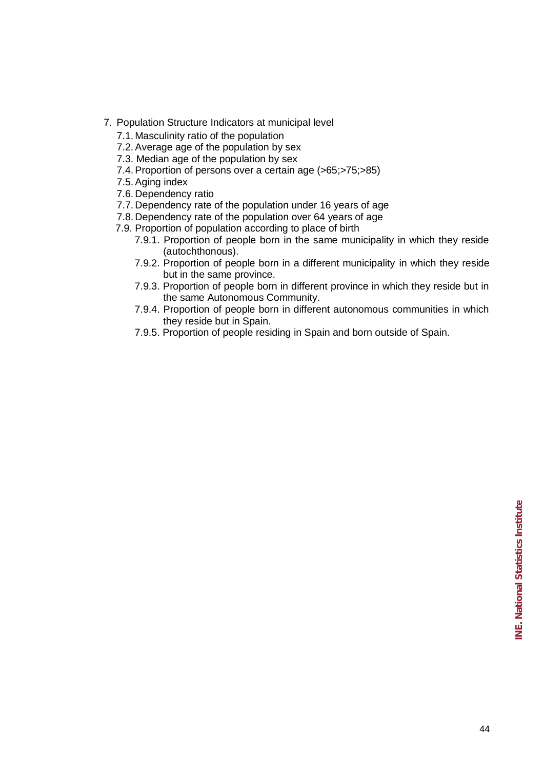- 7. Population Structure Indicators at municipal level
	- 7.1. Masculinity ratio of the population
	- 7.2. Average age of the population by sex
	- 7.3. Median age of the population by sex
	- 7.4. Proportion of persons over a certain age (>65;>75;>85)
	- 7.5. Aging index
	- 7.6. Dependency ratio
	- 7.7. Dependency rate of the population under 16 years of age
	- 7.8. Dependency rate of the population over 64 years of age
	- 7.9. Proportion of population according to place of birth
		- 7.9.1. Proportion of people born in the same municipality in which they reside (autochthonous).
		- 7.9.2. Proportion of people born in a different municipality in which they reside but in the same province.
		- 7.9.3. Proportion of people born in different province in which they reside but in the same Autonomous Community.
		- 7.9.4. Proportion of people born in different autonomous communities in which they reside but in Spain.
		- 7.9.5. Proportion of people residing in Spain and born outside of Spain.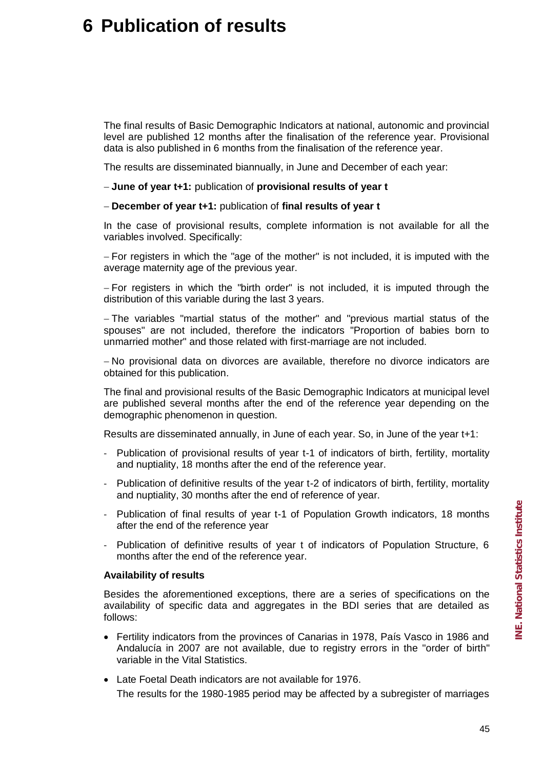# **6 Publication of results**

The final results of Basic Demographic Indicators at national, autonomic and provincial level are published 12 months after the finalisation of the reference year. Provisional data is also published in 6 months from the finalisation of the reference year.

The results are disseminated biannually, in June and December of each year:

**June of year t+1:** publication of **provisional results of year t**

**December of year t+1:** publication of **final results of year t** 

In the case of provisional results, complete information is not available for all the variables involved. Specifically:

 $-$  For registers in which the "age of the mother" is not included, it is imputed with the average maternity age of the previous year.

- For registers in which the "birth order" is not included, it is imputed through the distribution of this variable during the last 3 years.

 The variables "martial status of the mother" and "previous martial status of the spouses" are not included, therefore the indicators "Proportion of babies born to unmarried mother" and those related with first-marriage are not included.

 No provisional data on divorces are available, therefore no divorce indicators are obtained for this publication.

The final and provisional results of the Basic Demographic Indicators at municipal level are published several months after the end of the reference year depending on the demographic phenomenon in question.

Results are disseminated annually, in June of each year. So, in June of the year t+1:

- Publication of provisional results of year t-1 of indicators of birth, fertility, mortality and nuptiality, 18 months after the end of the reference year.
- Publication of definitive results of the year t-2 of indicators of birth, fertility, mortality and nuptiality, 30 months after the end of reference of year.
- Publication of final results of year t-1 of Population Growth indicators, 18 months after the end of the reference year
- Publication of definitive results of year t of indicators of Population Structure, 6 months after the end of the reference year.

## **Availability of results**

Besides the aforementioned exceptions, there are a series of specifications on the availability of specific data and aggregates in the BDI series that are detailed as follows:

- Fertility indicators from the provinces of Canarias in 1978, País Vasco in 1986 and Andalucía in 2007 are not available, due to registry errors in the "order of birth" variable in the Vital Statistics.
- Late Foetal Death indicators are not available for 1976. The results for the 1980-1985 period may be affected by a subregister of marriages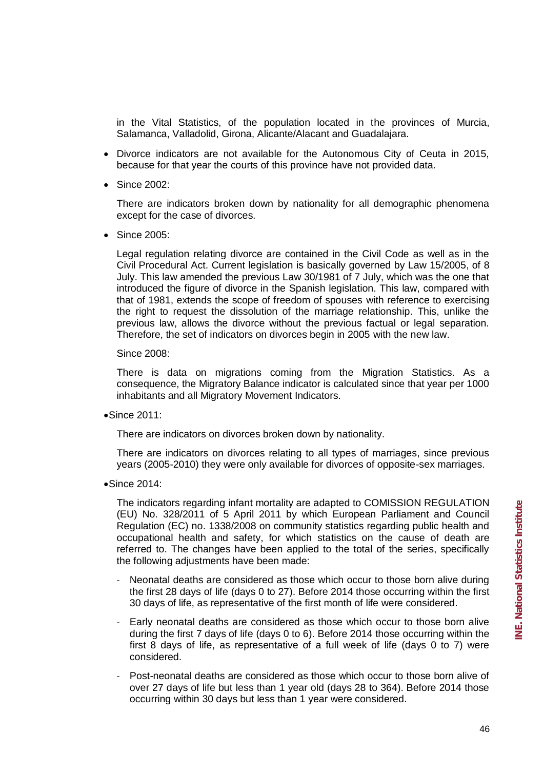in the Vital Statistics, of the population located in the provinces of Murcia, Salamanca, Valladolid, Girona, Alicante/Alacant and Guadalajara.

- Divorce indicators are not available for the Autonomous City of Ceuta in 2015. because for that year the courts of this province have not provided data.
- Since 2002:

There are indicators broken down by nationality for all demographic phenomena except for the case of divorces.

• Since 2005:

Legal regulation relating divorce are contained in the Civil Code as well as in the Civil Procedural Act. Current legislation is basically governed by Law 15/2005, of 8 July. This law amended the previous Law 30/1981 of 7 July, which was the one that introduced the figure of divorce in the Spanish legislation. This law, compared with that of 1981, extends the scope of freedom of spouses with reference to exercising the right to request the dissolution of the marriage relationship. This, unlike the previous law, allows the divorce without the previous factual or legal separation. Therefore, the set of indicators on divorces begin in 2005 with the new law.

Since 2008:

There is data on migrations coming from the Migration Statistics. As a consequence, the Migratory Balance indicator is calculated since that year per 1000 inhabitants and all Migratory Movement Indicators.

Since 2011:

There are indicators on divorces broken down by nationality.

There are indicators on divorces relating to all types of marriages, since previous years (2005-2010) they were only available for divorces of opposite-sex marriages.

**Since 2014:** 

The indicators regarding infant mortality are adapted to COMISSION REGULATION (EU) No. 328/2011 of 5 April 2011 by which European Parliament and Council Regulation (EC) no. 1338/2008 on community statistics regarding public health and occupational health and safety, for which statistics on the cause of death are referred to. The changes have been applied to the total of the series, specifically the following adjustments have been made:

- Neonatal deaths are considered as those which occur to those born alive during the first 28 days of life (days 0 to 27). Before 2014 those occurring within the first 30 days of life, as representative of the first month of life were considered.
- Early neonatal deaths are considered as those which occur to those born alive during the first 7 days of life (days 0 to 6). Before 2014 those occurring within the first 8 days of life, as representative of a full week of life (days 0 to 7) were considered.
- Post-neonatal deaths are considered as those which occur to those born alive of over 27 days of life but less than 1 year old (days 28 to 364). Before 2014 those occurring within 30 days but less than 1 year were considered.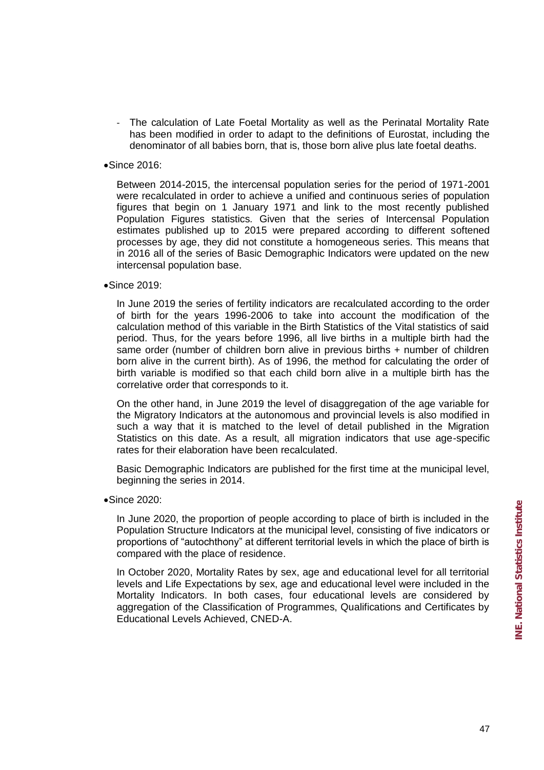- The calculation of Late Foetal Mortality as well as the Perinatal Mortality Rate has been modified in order to adapt to the definitions of Eurostat, including the denominator of all babies born, that is, those born alive plus late foetal deaths.
- Since 2016:

Between 2014-2015, the intercensal population series for the period of 1971-2001 were recalculated in order to achieve a unified and continuous series of population figures that begin on 1 January 1971 and link to the most recently published Population Figures statistics. Given that the series of Intercensal Population estimates published up to 2015 were prepared according to different softened processes by age, they did not constitute a homogeneous series. This means that in 2016 all of the series of Basic Demographic Indicators were updated on the new intercensal population base.

**Since 2019:** 

In June 2019 the series of fertility indicators are recalculated according to the order of birth for the years 1996-2006 to take into account the modification of the calculation method of this variable in the Birth Statistics of the Vital statistics of said period. Thus, for the years before 1996, all live births in a multiple birth had the same order (number of children born alive in previous births + number of children born alive in the current birth). As of 1996, the method for calculating the order of birth variable is modified so that each child born alive in a multiple birth has the correlative order that corresponds to it.

On the other hand, in June 2019 the level of disaggregation of the age variable for the Migratory Indicators at the autonomous and provincial levels is also modified in such a way that it is matched to the level of detail published in the Migration Statistics on this date. As a result, all migration indicators that use age-specific rates for their elaboration have been recalculated.

Basic Demographic Indicators are published for the first time at the municipal level, beginning the series in 2014.

**Since 2020:** 

In June 2020, the proportion of people according to place of birth is included in the Population Structure Indicators at the municipal level, consisting of five indicators or proportions of "autochthony" at different territorial levels in which the place of birth is compared with the place of residence.

In October 2020, Mortality Rates by sex, age and educational level for all territorial levels and Life Expectations by sex, age and educational level were included in the Mortality Indicators. In both cases, four educational levels are considered by aggregation of the Classification of Programmes, Qualifications and Certificates by Educational Levels Achieved, CNED-A.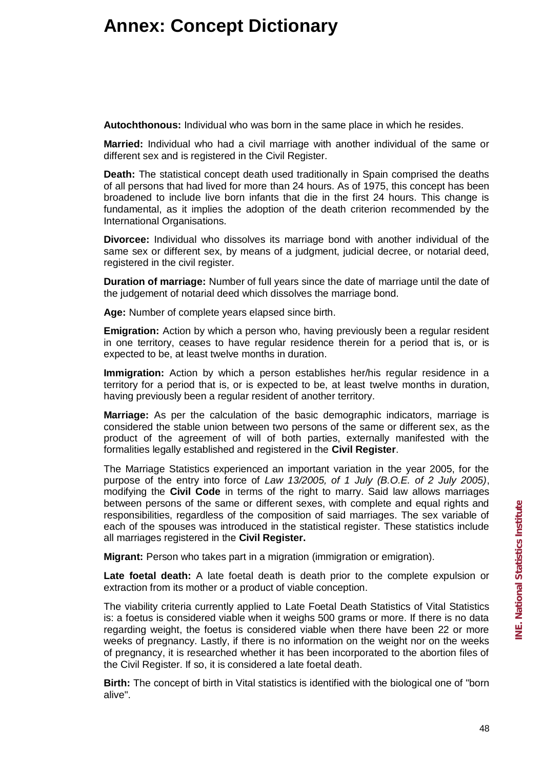# **Annex: Concept Dictionary**

**Autochthonous:** Individual who was born in the same place in which he resides.

**Married:** Individual who had a civil marriage with another individual of the same or different sex and is registered in the Civil Register.

**Death:** The statistical concept death used traditionally in Spain comprised the deaths of all persons that had lived for more than 24 hours. As of 1975, this concept has been broadened to include live born infants that die in the first 24 hours. This change is fundamental, as it implies the adoption of the death criterion recommended by the International Organisations.

**Divorcee:** Individual who dissolves its marriage bond with another individual of the same sex or different sex, by means of a judgment, judicial decree, or notarial deed, registered in the civil register.

**Duration of marriage:** Number of full years since the date of marriage until the date of the judgement of notarial deed which dissolves the marriage bond.

**Age:** Number of complete years elapsed since birth.

**Emigration:** Action by which a person who, having previously been a regular resident in one territory, ceases to have regular residence therein for a period that is, or is expected to be, at least twelve months in duration.

**Immigration:** Action by which a person establishes her/his regular residence in a territory for a period that is, or is expected to be, at least twelve months in duration, having previously been a regular resident of another territory.

**Marriage:** As per the calculation of the basic demographic indicators, marriage is considered the stable union between two persons of the same or different sex, as the product of the agreement of will of both parties, externally manifested with the formalities legally established and registered in the **Civil Register**.

The Marriage Statistics experienced an important variation in the year 2005, for the purpose of the entry into force of *Law 13/2005, of 1 July (B.O.E. of 2 July 2005)*, modifying the **Civil Code** in terms of the right to marry. Said law allows marriages between persons of the same or different sexes, with complete and equal rights and responsibilities, regardless of the composition of said marriages. The sex variable of each of the spouses was introduced in the statistical register. These statistics include all marriages registered in the **Civil Register.**

**Migrant:** Person who takes part in a migration (immigration or emigration).

**Late foetal death:** A late foetal death is death prior to the complete expulsion or extraction from its mother or a product of viable conception.

The viability criteria currently applied to Late Foetal Death Statistics of Vital Statistics is: a foetus is considered viable when it weighs 500 grams or more. If there is no data regarding weight, the foetus is considered viable when there have been 22 or more weeks of pregnancy. Lastly, if there is no information on the weight nor on the weeks of pregnancy, it is researched whether it has been incorporated to the abortion files of the Civil Register. If so, it is considered a late foetal death.

**Birth:** The concept of birth in Vital statistics is identified with the biological one of "born" alive".